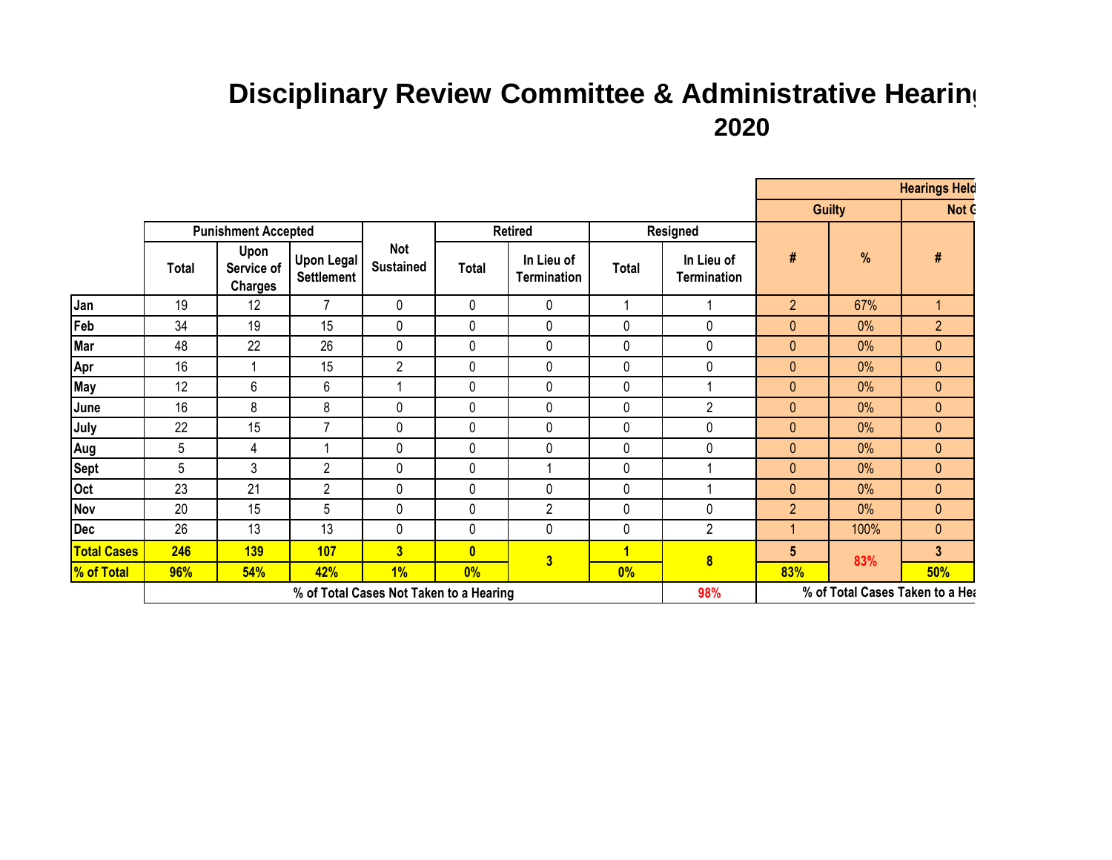## **Disciplinary Review Committee & Administrative Hearing 2020**

|                    |                                         |                                      |                                        |                         |                |                                  |                 |                                  |                                 | <b>Hearings Held</b> |                |  |
|--------------------|-----------------------------------------|--------------------------------------|----------------------------------------|-------------------------|----------------|----------------------------------|-----------------|----------------------------------|---------------------------------|----------------------|----------------|--|
|                    |                                         |                                      |                                        |                         |                |                                  |                 |                                  | <b>Guilty</b>                   |                      | Not C          |  |
|                    | <b>Punishment Accepted</b>              |                                      |                                        |                         | <b>Retired</b> |                                  | <b>Resigned</b> |                                  |                                 |                      |                |  |
|                    | Total                                   | Upon<br>Service of<br><b>Charges</b> | <b>Upon Legal</b><br><b>Settlement</b> | Not<br><b>Sustained</b> | Total          | In Lieu of<br><b>Termination</b> | <b>Total</b>    | In Lieu of<br><b>Termination</b> | #                               | %                    | #              |  |
| Jan                | 19                                      | 12                                   | $\overline{7}$                         | $\pmb{0}$               | 0              | 0                                | 1               |                                  | $\overline{2}$                  | 67%                  | $\mathbf{1}$   |  |
| Feb                | 34                                      | 19                                   | 15                                     | $\pmb{0}$               | 0              | 0                                | 0               | 0                                | 0                               | 0%                   | $\overline{2}$ |  |
| Mar                | 48                                      | 22                                   | 26                                     | $\mathbf 0$             | 0              | 0                                | 0               | $\mathbf 0$                      | 0                               | 0%                   | $\pmb{0}$      |  |
| Apr                | 16                                      | 1                                    | 15                                     | $\overline{2}$          | $\pmb{0}$      | 0                                | 0               | $\mathbf 0$                      | $\pmb{0}$                       | 0%                   | $\pmb{0}$      |  |
| May                | 12                                      | 6                                    | 6                                      |                         | 0              | 0                                | 0               |                                  | 0                               | 0%                   | $\pmb{0}$      |  |
| June               | 16                                      | 8                                    | 8                                      | $\mathbf 0$             | 0              | 0                                | 0               | $\overline{2}$                   | $\mathbf{0}$                    | 0%                   | $\pmb{0}$      |  |
| July               | 22                                      | 15                                   | $\overline{7}$                         | $\mathbf 0$             | 0              | 0                                | 0               | $\pmb{0}$                        | $\mathbf{0}$                    | 0%                   | $\pmb{0}$      |  |
| Aug                | 5                                       | 4                                    |                                        | $\mathbf 0$             | 0              | 0                                | 0               | 0                                | $\mathbf{0}$                    | 0%                   | $\pmb{0}$      |  |
| <b>Sept</b>        | 5                                       | 3                                    | $\overline{2}$                         | $\mathbf 0$             | $\mathbf 0$    | 1                                | 0               |                                  | $\mathbf{0}$                    | 0%                   | $\pmb{0}$      |  |
| Oct                | 23                                      | 21                                   | $\overline{c}$                         | $\mathbf 0$             | 0              | 0                                | 0               |                                  | 0                               | 0%                   | $\pmb{0}$      |  |
| Nov                | 20                                      | 15                                   | 5                                      | $\mathbf 0$             | 0              | $\overline{c}$                   | 0               | $\mathbf 0$                      | $\overline{2}$                  | 0%                   | $\mathbf{0}$   |  |
| <b>Dec</b>         | 26                                      | 13                                   | 13                                     | $\mathbf 0$             | 0              | 0                                | 0               | $\overline{2}$                   |                                 | 100%                 | $\pmb{0}$      |  |
| <b>Total Cases</b> | 246                                     | <b>139</b>                           | <b>107</b>                             | $\overline{\mathbf{3}}$ | $\mathbf{0}$   |                                  | 1               | $\overline{\mathbf{8}}$          | 5                               | 83%                  | $\mathbf{3}$   |  |
| <b>% of Total</b>  | 96%                                     | 54%                                  | 42%                                    | 1%                      | 0%             | $\overline{\mathbf{3}}$          | 0%              |                                  | 83%                             |                      | 50%            |  |
|                    | % of Total Cases Not Taken to a Hearing |                                      |                                        |                         |                |                                  |                 | 98%                              | % of Total Cases Taken to a Hea |                      |                |  |